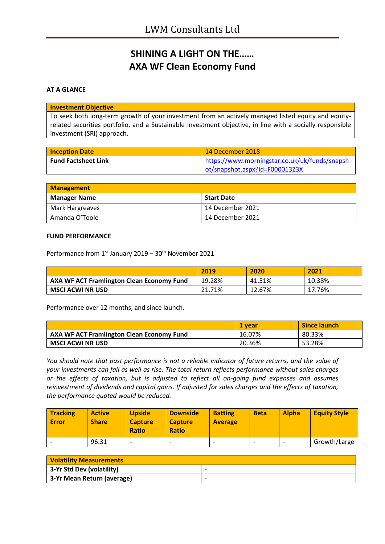# **SHINING A LIGHT ON THE…… AXA WF Clean Economy Fund**

## **AT A GLANCE**

#### **Investment Objective**

To seek both long-term growth of your investment from an actively managed listed equity and equityrelated securities portfolio, and a Sustainable Investment objective, in line with a socially responsible investment (SRI) approach.

| <b>Inception Date</b>      | 14 December 2018                              |
|----------------------------|-----------------------------------------------|
| <b>Fund Factsheet Link</b> | https://www.morningstar.co.uk/uk/funds/snapsh |
|                            | ot/snapshot.aspx?id=F000013Z3X                |

| <b>Management</b>   |                    |  |
|---------------------|--------------------|--|
| <b>Manager Name</b> | Start Date         |  |
| Mark Hargreaves     | 14 December 2021   |  |
| Amanda O'Toole      | l 14 December 2021 |  |

#### **FUND PERFORMANCE**

Performance from 1<sup>st</sup> January 2019 - 30<sup>th</sup> November 2021

|                                                  | 2019   | 2020   | 2021   |
|--------------------------------------------------|--------|--------|--------|
| <b>AXA WF ACT Framlington Clean Economy Fund</b> | 19.28% | 41.51% | 10.38% |
| MSCI ACWI NR USD                                 | 21.71% | 12.67% | 17.76% |

Performance over 12 months, and since launch.

|                                                  | <b>1 vear</b> | Since launch |
|--------------------------------------------------|---------------|--------------|
| <b>AXA WF ACT Framlington Clean Economy Fund</b> | 16.07%        | 80.33%       |
| MSCI ACWI NR USD                                 | 20.36%        | 53.28%       |

*You should note that past performance is not a reliable indicator of future returns, and the value of your investments can fall as well as rise. The total return reflects performance without sales charges or the effects of taxation, but is adjusted to reflect all on-going fund expenses and assumes reinvestment of dividends and capital gains. If adjusted for sales charges and the effects of taxation, the performance quoted would be reduced.*

| <b>Tracking</b><br><b>Error</b> | <b>Active</b><br><b>Share</b> | <b>Upside</b><br><b>Capture</b><br><b>Ratio</b> | <b>Downside</b><br><b>Capture</b><br><b>Ratio</b> | <b>Batting</b><br><b>Average</b> | <b>Beta</b> | <b>Alpha</b> | <b>Equity Style</b> |
|---------------------------------|-------------------------------|-------------------------------------------------|---------------------------------------------------|----------------------------------|-------------|--------------|---------------------|
|                                 | 96.31                         | -                                               |                                                   |                                  |             |              | Growth/Large        |

| <b>Volatility Measurements</b> |                          |
|--------------------------------|--------------------------|
| 3-Yr Std Dev (volatility)      | $\overline{\phantom{0}}$ |
| 3-Yr Mean Return (average)     | $\overline{\phantom{0}}$ |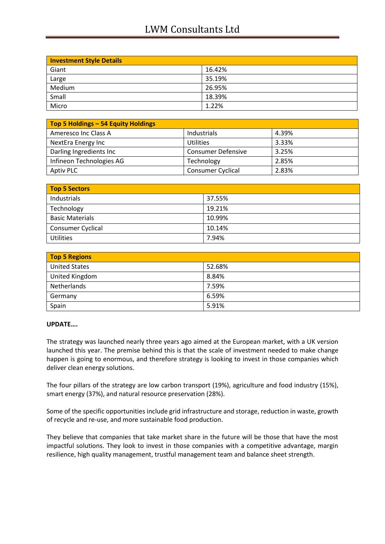## LWM Consultants Ltd

| <b>Investment Style Details</b> |        |  |
|---------------------------------|--------|--|
| Giant                           | 16.42% |  |
| Large                           | 35.19% |  |
| Medium                          | 26.95% |  |
| Small                           | 18.39% |  |
| Micro                           | 1.22%  |  |

| Top 5 Holdings - 54 Equity Holdings |                           |       |
|-------------------------------------|---------------------------|-------|
| Ameresco Inc Class A                | Industrials               | 4.39% |
| NextEra Energy Inc                  | <b>Utilities</b>          | 3.33% |
| Darling Ingredients Inc             | <b>Consumer Defensive</b> | 3.25% |
| Infineon Technologies AG            | Technology                | 2.85% |
| Aptiv PLC                           | <b>Consumer Cyclical</b>  | 2.83% |

| Top 5 Sectors            |        |  |
|--------------------------|--------|--|
| Industrials              | 37.55% |  |
| Technology               | 19.21% |  |
| <b>Basic Materials</b>   | 10.99% |  |
| <b>Consumer Cyclical</b> | 10.14% |  |
| <b>Utilities</b>         | 7.94%  |  |

| <b>Top 5 Regions</b> |        |  |
|----------------------|--------|--|
| <b>United States</b> | 52.68% |  |
| United Kingdom       | 8.84%  |  |
| Netherlands          | 7.59%  |  |
| Germany              | 6.59%  |  |
| Spain                | 5.91%  |  |

## **UPDATE….**

The strategy was launched nearly three years ago aimed at the European market, with a UK version launched this year. The premise behind this is that the scale of investment needed to make change happen is going to enormous, and therefore strategy is looking to invest in those companies which deliver clean energy solutions.

The four pillars of the strategy are low carbon transport (19%), agriculture and food industry (15%), smart energy (37%), and natural resource preservation (28%).

Some of the specific opportunities include grid infrastructure and storage, reduction in waste, growth of recycle and re-use, and more sustainable food production.

They believe that companies that take market share in the future will be those that have the most impactful solutions. They look to invest in those companies with a competitive advantage, margin resilience, high quality management, trustful management team and balance sheet strength.